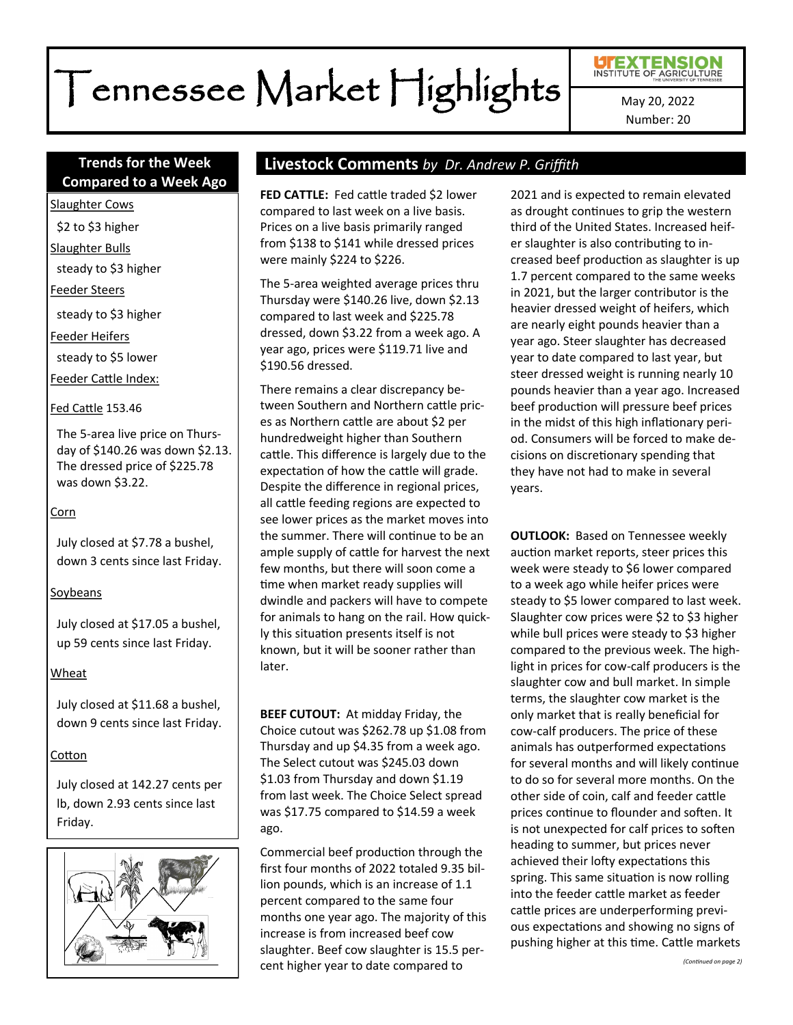# Tennessee Market Highlights

Number: 20

# **Compared to a Week Ago**

Slaughter Cows

\$2 to \$3 higher

Slaughter Bulls

steady to \$3 higher

Feeder Steers

steady to \$3 higher

Feeder Heifers

steady to \$5 lower

Feeder Cattle Index:

# Fed Cattle 153.46

The 5-area live price on Thursday of \$140.26 was down \$2.13. The dressed price of \$225.78 was down \$3.22.

# Corn

July closed at \$7.78 a bushel, down 3 cents since last Friday.

# Soybeans

July closed at \$17.05 a bushel, up 59 cents since last Friday.

# Wheat

July closed at \$11.68 a bushel, down 9 cents since last Friday.

# Cotton

July closed at 142.27 cents per lb, down 2.93 cents since last Friday.



# **Trends for the Week Livestock Comments** *by Dr. Andrew P. Griffith*

**FED CATTLE:** Fed cattle traded \$2 lower compared to last week on a live basis. Prices on a live basis primarily ranged from \$138 to \$141 while dressed prices were mainly \$224 to \$226.

The 5-area weighted average prices thru Thursday were \$140.26 live, down \$2.13 compared to last week and \$225.78 dressed, down \$3.22 from a week ago. A year ago, prices were \$119.71 live and \$190.56 dressed.

There remains a clear discrepancy between Southern and Northern cattle prices as Northern cattle are about \$2 per hundredweight higher than Southern cattle. This difference is largely due to the expectation of how the cattle will grade. Despite the difference in regional prices, all cattle feeding regions are expected to see lower prices as the market moves into the summer. There will continue to be an ample supply of cattle for harvest the next few months, but there will soon come a time when market ready supplies will dwindle and packers will have to compete for animals to hang on the rail. How quickly this situation presents itself is not known, but it will be sooner rather than later.

**BEEF CUTOUT:** At midday Friday, the Choice cutout was \$262.78 up \$1.08 from Thursday and up \$4.35 from a week ago. The Select cutout was \$245.03 down \$1.03 from Thursday and down \$1.19 from last week. The Choice Select spread was \$17.75 compared to \$14.59 a week ago.

Commercial beef production through the first four months of 2022 totaled 9.35 billion pounds, which is an increase of 1.1 percent compared to the same four months one year ago. The majority of this increase is from increased beef cow slaughter. Beef cow slaughter is 15.5 percent higher year to date compared to

2021 and is expected to remain elevated as drought continues to grip the western third of the United States. Increased heifer slaughter is also contributing to increased beef production as slaughter is up 1.7 percent compared to the same weeks in 2021, but the larger contributor is the heavier dressed weight of heifers, which are nearly eight pounds heavier than a year ago. Steer slaughter has decreased year to date compared to last year, but steer dressed weight is running nearly 10 pounds heavier than a year ago. Increased beef production will pressure beef prices in the midst of this high inflationary period. Consumers will be forced to make decisions on discretionary spending that they have not had to make in several years.

**OUTLOOK:** Based on Tennessee weekly auction market reports, steer prices this week were steady to \$6 lower compared to a week ago while heifer prices were steady to \$5 lower compared to last week. Slaughter cow prices were \$2 to \$3 higher while bull prices were steady to \$3 higher compared to the previous week. The highlight in prices for cow-calf producers is the slaughter cow and bull market. In simple terms, the slaughter cow market is the only market that is really beneficial for cow-calf producers. The price of these animals has outperformed expectations for several months and will likely continue to do so for several more months. On the other side of coin, calf and feeder cattle prices continue to flounder and soften. It is not unexpected for calf prices to soften heading to summer, but prices never achieved their lofty expectations this spring. This same situation is now rolling into the feeder cattle market as feeder cattle prices are underperforming previous expectations and showing no signs of pushing higher at this time. Cattle markets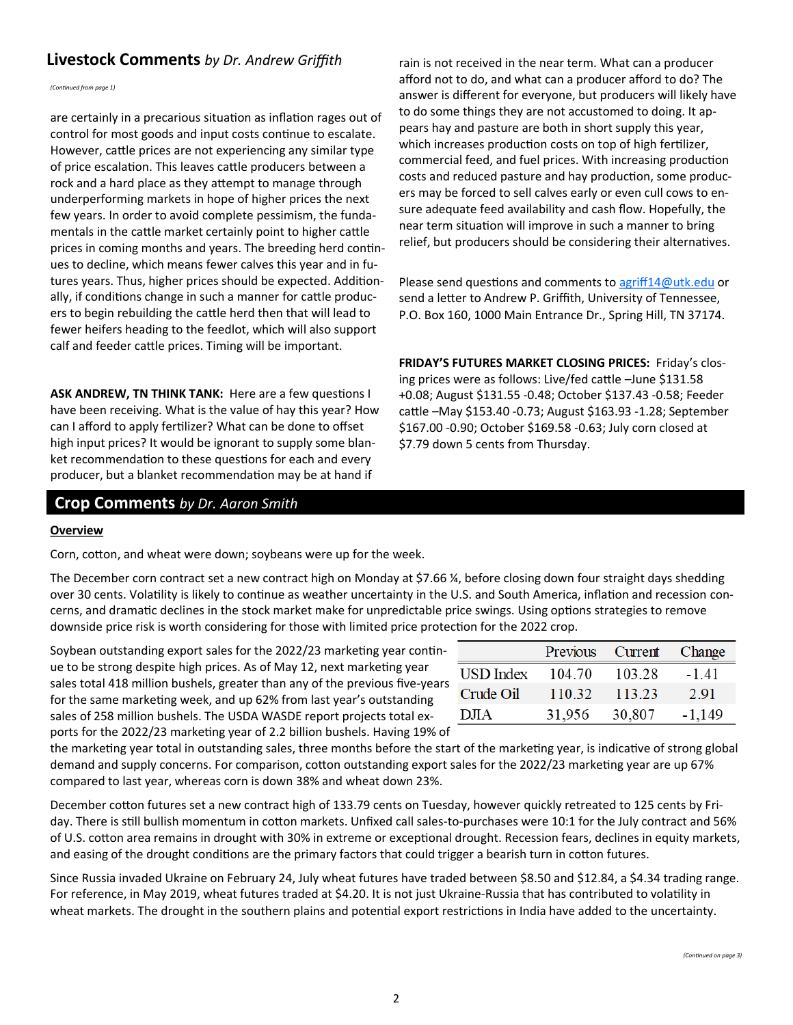# **Livestock Comments** by Dr. Andrew Griffith rain is not received in the near term. What can a producer

*(Continued from page 1)*

are certainly in a precarious situation as inflation rages out of control for most goods and input costs continue to escalate. However, cattle prices are not experiencing any similar type of price escalation. This leaves cattle producers between a rock and a hard place as they attempt to manage through underperforming markets in hope of higher prices the next few years. In order to avoid complete pessimism, the fundamentals in the cattle market certainly point to higher cattle prices in coming months and years. The breeding herd continues to decline, which means fewer calves this year and in futures years. Thus, higher prices should be expected. Additionally, if conditions change in such a manner for cattle producers to begin rebuilding the cattle herd then that will lead to fewer heifers heading to the feedlot, which will also support calf and feeder cattle prices. Timing will be important.

**ASK ANDREW, TN THINK TANK:** Here are a few questions I have been receiving. What is the value of hay this year? How can I afford to apply fertilizer? What can be done to offset high input prices? It would be ignorant to supply some blanket recommendation to these questions for each and every producer, but a blanket recommendation may be at hand if

afford not to do, and what can a producer afford to do? The answer is different for everyone, but producers will likely have to do some things they are not accustomed to doing. It appears hay and pasture are both in short supply this year, which increases production costs on top of high fertilizer, commercial feed, and fuel prices. With increasing production costs and reduced pasture and hay production, some producers may be forced to sell calves early or even cull cows to ensure adequate feed availability and cash flow. Hopefully, the near term situation will improve in such a manner to bring relief, but producers should be considering their alternatives.

Please send questions and comments to [agriff14@utk.edu](mailto:agriff14@utk.edu) or send a letter to Andrew P. Griffith, University of Tennessee, P.O. Box 160, 1000 Main Entrance Dr., Spring Hill, TN 37174.

**FRIDAY'S FUTURES MARKET CLOSING PRICES:** Friday's closing prices were as follows: Live/fed cattle –June \$131.58 +0.08; August \$131.55 -0.48; October \$137.43 -0.58; Feeder cattle –May \$153.40 -0.73; August \$163.93 -1.28; September \$167.00 -0.90; October \$169.58 -0.63; July corn closed at \$7.79 down 5 cents from Thursday.

# **Crop Comments** *by Dr. Aaron Smith*

#### **Overview**

Corn, cotton, and wheat were down; soybeans were up for the week.

The December corn contract set a new contract high on Monday at \$7.66 ¼, before closing down four straight days shedding over 30 cents. Volatility is likely to continue as weather uncertainty in the U.S. and South America, inflation and recession concerns, and dramatic declines in the stock market make for unpredictable price swings. Using options strategies to remove downside price risk is worth considering for those with limited price protection for the 2022 crop.

Soybean outstanding export sales for the 2022/23 marketing year continue to be strong despite high prices. As of May 12, next marketing year sales total 418 million bushels, greater than any of the previous five-years for the same marketing week, and up 62% from last year's outstanding sales of 258 million bushels. The USDA WASDE report projects total exports for the 2022/23 marketing year of 2.2 billion bushels. Having 19% of

|                  | Previous Current |        | Change   |
|------------------|------------------|--------|----------|
| <b>USD</b> Index | 104.70           | 103.28 | $-141$   |
| Crude Oil        | 110.32           | 113.23 | 2.91     |
| D.ITA            | 31,956           | 30,807 | $-1.149$ |

the marketing year total in outstanding sales, three months before the start of the marketing year, is indicative of strong global demand and supply concerns. For comparison, cotton outstanding export sales for the 2022/23 marketing year are up 67% compared to last year, whereas corn is down 38% and wheat down 23%.

December cotton futures set a new contract high of 133.79 cents on Tuesday, however quickly retreated to 125 cents by Friday. There is still bullish momentum in cotton markets. Unfixed call sales-to-purchases were 10:1 for the July contract and 56% of U.S. cotton area remains in drought with 30% in extreme or exceptional drought. Recession fears, declines in equity markets, and easing of the drought conditions are the primary factors that could trigger a bearish turn in cotton futures.

Since Russia invaded Ukraine on February 24, July wheat futures have traded between \$8.50 and \$12.84, a \$4.34 trading range. For reference, in May 2019, wheat futures traded at \$4.20. It is not just Ukraine-Russia that has contributed to volatility in wheat markets. The drought in the southern plains and potential export restrictions in India have added to the uncertainty.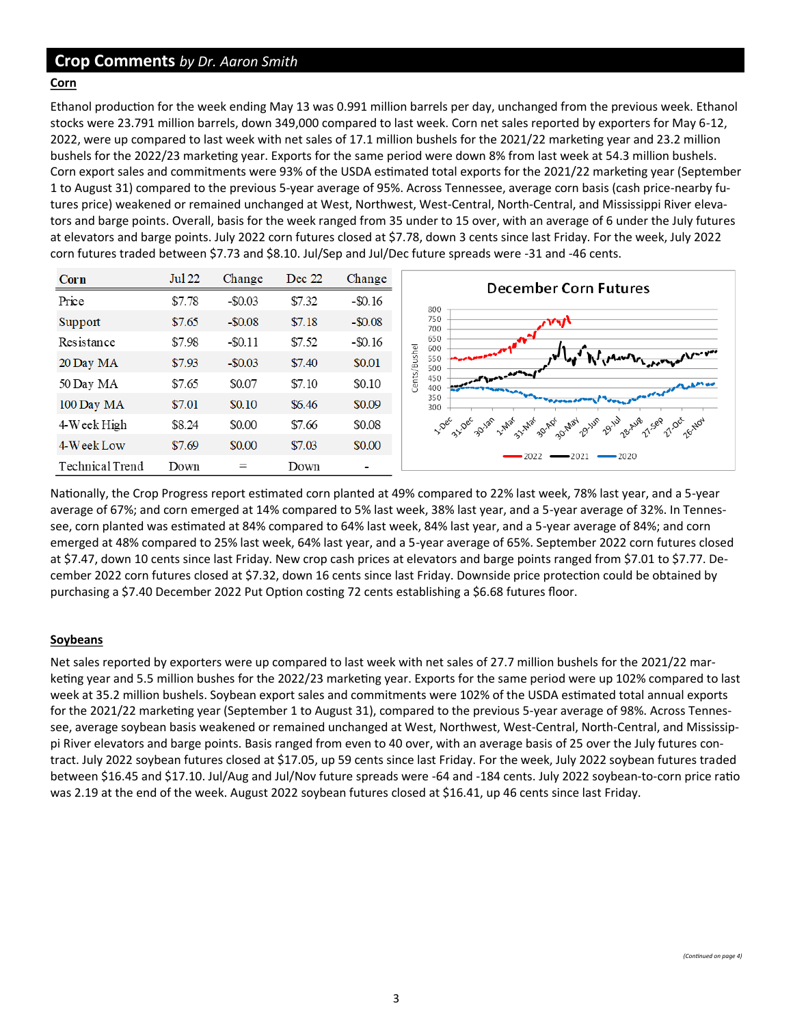# **Crop Comments** *by Dr. Aaron Smith*

#### **Corn**

Ethanol production for the week ending May 13 was 0.991 million barrels per day, unchanged from the previous week. Ethanol stocks were 23.791 million barrels, down 349,000 compared to last week. Corn net sales reported by exporters for May 6-12, 2022, were up compared to last week with net sales of 17.1 million bushels for the 2021/22 marketing year and 23.2 million bushels for the 2022/23 marketing year. Exports for the same period were down 8% from last week at 54.3 million bushels. Corn export sales and commitments were 93% of the USDA estimated total exports for the 2021/22 marketing year (September 1 to August 31) compared to the previous 5-year average of 95%. Across Tennessee, average corn basis (cash price-nearby futures price) weakened or remained unchanged at West, Northwest, West-Central, North-Central, and Mississippi River elevators and barge points. Overall, basis for the week ranged from 35 under to 15 over, with an average of 6 under the July futures at elevators and barge points. July 2022 corn futures closed at \$7.78, down 3 cents since last Friday. For the week, July 2022 corn futures traded between \$7.73 and \$8.10. Jul/Sep and Jul/Dec future spreads were -31 and -46 cents.

| <b>Corn</b>     | <b>Jul 22</b> | Change     | Dec 22 | Change     | <b>December Corn Futures</b>                                                    |
|-----------------|---------------|------------|--------|------------|---------------------------------------------------------------------------------|
| Price           | \$7.78        | $-$ \$0.03 | \$7.32 | $-$ \$0.16 | 800                                                                             |
| Support         | \$7.65        | $-$0.08$   | \$7.18 | $-$ \$0.08 | 750<br>ハハ<br>700                                                                |
| Resistance      | \$7.98        | $-$ \$0.11 | \$7.52 | $-$ \$0.16 | 650<br>600                                                                      |
| 20 Day MA       | \$7.93        | $-$ \$0.03 | \$7.40 | \$0.01     | ushel<br>550<br>500                                                             |
| 50 Day MA       | \$7.65        | \$0.07     | \$7.10 | \$0.10     | Cents/B<br>450<br>400                                                           |
| 100 Day MA      | \$7.01        | \$0.10     | \$6.46 | \$0.09     | 350<br>300                                                                      |
| 4-Week High     | \$8.24        | \$0.00     | \$7.66 | \$0.08     | 3018 - 1478 - 1478 - 2014 - 2014 - 2014 - 2014 - 314 - 324 - 324<br>1.0ec 1.0ec |
| 4-Week Low      | \$7.69        | \$0.00     | \$7.03 | \$0.00     |                                                                                 |
| Technical Trend | Down          | $=$        | Down   |            | $-2021$<br>$-2020$<br>2022                                                      |

Nationally, the Crop Progress report estimated corn planted at 49% compared to 22% last week, 78% last year, and a 5-year average of 67%; and corn emerged at 14% compared to 5% last week, 38% last year, and a 5-year average of 32%. In Tennessee, corn planted was estimated at 84% compared to 64% last week, 84% last year, and a 5-year average of 84%; and corn emerged at 48% compared to 25% last week, 64% last year, and a 5-year average of 65%. September 2022 corn futures closed at \$7.47, down 10 cents since last Friday. New crop cash prices at elevators and barge points ranged from \$7.01 to \$7.77. December 2022 corn futures closed at \$7.32, down 16 cents since last Friday. Downside price protection could be obtained by purchasing a \$7.40 December 2022 Put Option costing 72 cents establishing a \$6.68 futures floor.

#### **Soybeans**

Net sales reported by exporters were up compared to last week with net sales of 27.7 million bushels for the 2021/22 marketing year and 5.5 million bushes for the 2022/23 marketing year. Exports for the same period were up 102% compared to last week at 35.2 million bushels. Soybean export sales and commitments were 102% of the USDA estimated total annual exports for the 2021/22 marketing year (September 1 to August 31), compared to the previous 5-year average of 98%. Across Tennessee, average soybean basis weakened or remained unchanged at West, Northwest, West-Central, North-Central, and Mississippi River elevators and barge points. Basis ranged from even to 40 over, with an average basis of 25 over the July futures contract. July 2022 soybean futures closed at \$17.05, up 59 cents since last Friday. For the week, July 2022 soybean futures traded between \$16.45 and \$17.10. Jul/Aug and Jul/Nov future spreads were -64 and -184 cents. July 2022 soybean-to-corn price ratio was 2.19 at the end of the week. August 2022 soybean futures closed at \$16.41, up 46 cents since last Friday.

**Incorport Comment**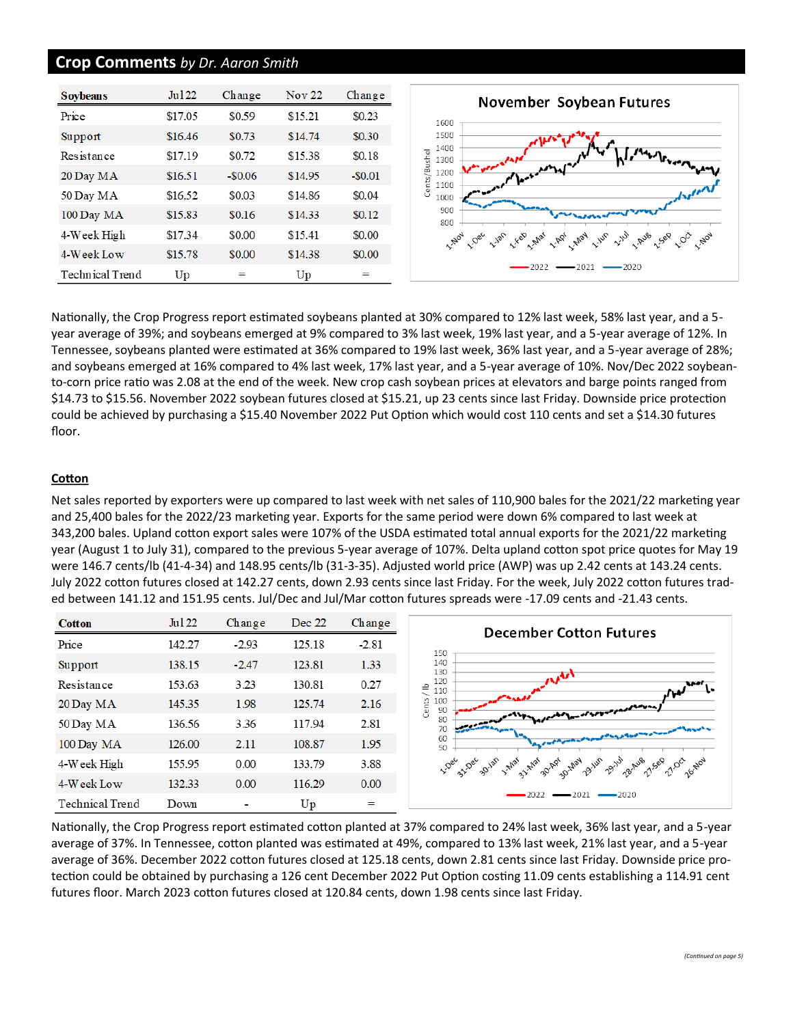# **Crop Comments** *by Dr. Aaron Smith*

| <b>Soybeans</b> | $Ju$ 1 22 | Change   | <b>Nov 22</b> | Change   |
|-----------------|-----------|----------|---------------|----------|
| Price           | \$17.05   | \$0.59   | \$15.21       | \$0.23   |
| Support         | \$16.46   | \$0.73   | \$14.74       | \$0.30   |
| Resistance      | \$17.19   | \$0.72   | \$15.38       | \$0.18   |
| 20 Day MA       | \$16.51   | $-$0.06$ | \$14.95       | $-$0.01$ |
| 50 Day MA       | \$16.52   | \$0.03   | \$14.86       | \$0.04   |
| 100 Day MA      | \$15.83   | \$0.16   | \$14.33       | \$0.12   |
| 4-Week High     | \$17.34   | \$0.00   | \$15.41       | \$0.00   |
| 4-Week Low      | \$15.78   | \$0.00   | \$14.38       | \$0.00   |
| Technical Trend | Up        | $=$      | Up            | $=$      |



Nationally, the Crop Progress report estimated soybeans planted at 30% compared to 12% last week, 58% last year, and a 5 year average of 39%; and soybeans emerged at 9% compared to 3% last week, 19% last year, and a 5-year average of 12%. In Tennessee, soybeans planted were estimated at 36% compared to 19% last week, 36% last year, and a 5-year average of 28%; and soybeans emerged at 16% compared to 4% last week, 17% last year, and a 5-year average of 10%. Nov/Dec 2022 soybeanto-corn price ratio was 2.08 at the end of the week. New crop cash soybean prices at elevators and barge points ranged from \$14.73 to \$15.56. November 2022 soybean futures closed at \$15.21, up 23 cents since last Friday. Downside price protection could be achieved by purchasing a \$15.40 November 2022 Put Option which would cost 110 cents and set a \$14.30 futures floor.

#### **Cotton**

Net sales reported by exporters were up compared to last week with net sales of 110,900 bales for the 2021/22 marketing year and 25,400 bales for the 2022/23 marketing year. Exports for the same period were down 6% compared to last week at 343,200 bales. Upland cotton export sales were 107% of the USDA estimated total annual exports for the 2021/22 marketing year (August 1 to July 31), compared to the previous 5-year average of 107%. Delta upland cotton spot price quotes for May 19 were 146.7 cents/lb (41-4-34) and 148.95 cents/lb (31-3-35). Adjusted world price (AWP) was up 2.42 cents at 143.24 cents. July 2022 cotton futures closed at 142.27 cents, down 2.93 cents since last Friday. For the week, July 2022 cotton futures traded between 141.12 and 151.95 cents. Jul/Dec and Jul/Mar cotton futures spreads were -17.09 cents and -21.43 cents.

| <b>Cotton</b>   | Jul 22 | Change  | Dec 22 | Change  |
|-----------------|--------|---------|--------|---------|
| Price           | 142.27 | $-2.93$ | 125.18 | $-2.81$ |
| Support         | 138.15 | $-2.47$ | 123.81 | 1.33    |
| Resistance      | 153.63 | 3.23    | 130.81 | 0.27    |
| 20 Day MA       | 145.35 | 1.98    | 125.74 | 2.16    |
| 50 Day MA       | 136.56 | 3.36    | 117.94 | 2.81    |
| 100 Day MA      | 126.00 | 2.11    | 108.87 | 1.95    |
| 4-Week High     | 155.95 | 0.00    | 133.79 | 3.88    |
| 4-Week Low      | 132.33 | 0.00    | 116.29 | 0.00    |
| Technical Trend | Down   |         | Up     | $=$     |

Nationally, the Crop Progress report estimated cotton planted at 37% compared to 24% last week, 36% last year, and a 5-year average of 37%. In Tennessee, cotton planted was estimated at 49%, compared to 13% last week, 21% last year, and a 5-year average of 36%. December 2022 cotton futures closed at 125.18 cents, down 2.81 cents since last Friday. Downside price protection could be obtained by purchasing a 126 cent December 2022 Put Option costing 11.09 cents establishing a 114.91 cent futures floor. March 2023 cotton futures closed at 120.84 cents, down 1.98 cents since last Friday.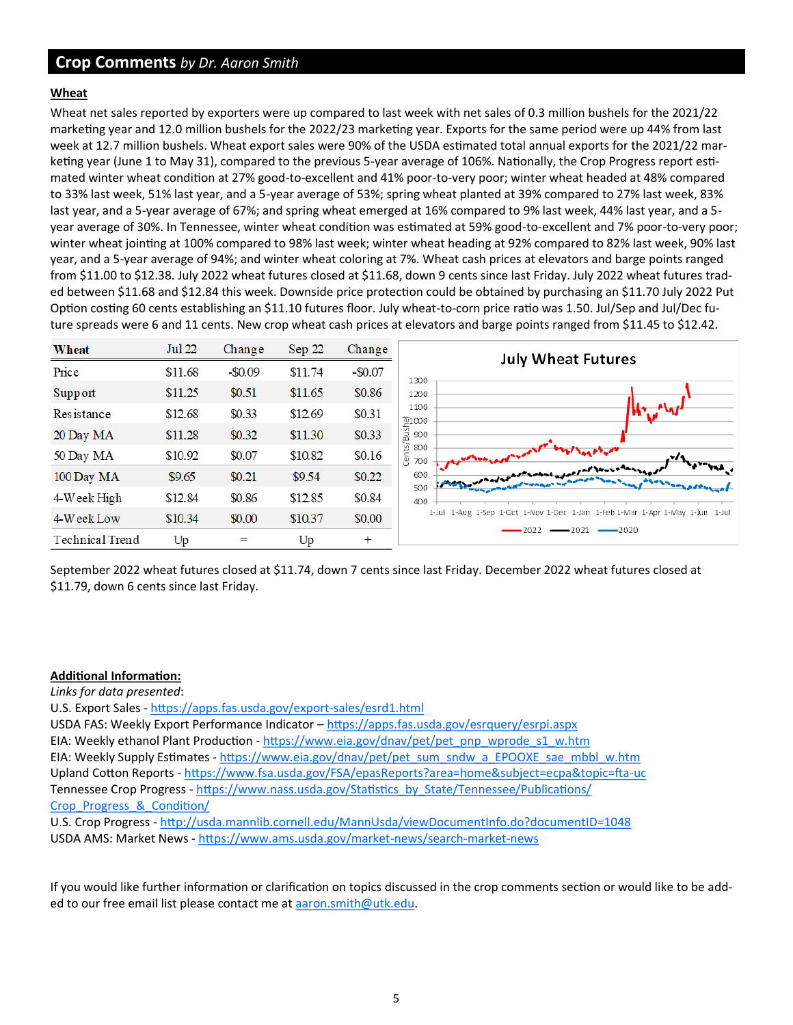# **Crop Comments** *by Dr. Aaron Smith*

#### **Wheat**

Wheat net sales reported by exporters were up compared to last week with net sales of 0.3 million bushels for the 2021/22 marketing year and 12.0 million bushels for the 2022/23 marketing year. Exports for the same period were up 44% from last week at 12.7 million bushels. Wheat export sales were 90% of the USDA estimated total annual exports for the 2021/22 marketing year (June 1 to May 31), compared to the previous 5-year average of 106%. Nationally, the Crop Progress report estimated winter wheat condition at 27% good-to-excellent and 41% poor-to-very poor; winter wheat headed at 48% compared to 33% last week, 51% last year, and a 5-year average of 53%; spring wheat planted at 39% compared to 27% last week, 83% last year, and a 5-year average of 67%; and spring wheat emerged at 16% compared to 9% last week, 44% last year, and a 5 year average of 30%. In Tennessee, winter wheat condition was estimated at 59% good-to-excellent and 7% poor-to-very poor; winter wheat jointing at 100% compared to 98% last week; winter wheat heading at 92% compared to 82% last week, 90% last year, and a 5-year average of 94%; and winter wheat coloring at 7%. Wheat cash prices at elevators and barge points ranged from \$11.00 to \$12.38. July 2022 wheat futures closed at \$11.68, down 9 cents since last Friday. July 2022 wheat futures traded between \$11.68 and \$12.84 this week. Downside price protection could be obtained by purchasing an \$11.70 July 2022 Put Option costing 60 cents establishing an \$11.10 futures floor. July wheat-to-corn price ratio was 1.50. Jul/Sep and Jul/Dec future spreads were 6 and 11 cents. New crop wheat cash prices at elevators and barge points ranged from \$11.45 to \$12.42.



September 2022 wheat futures closed at \$11.74, down 7 cents since last Friday. December 2022 wheat futures closed at \$11.79, down 6 cents since last Friday.

#### **Additional Information:**

*Links for data presented*:

U.S. Export Sales - [https://apps.fas.usda.gov/export](https://apps.fas.usda.gov/export-sales/esrd1.html)-sales/esrd1.html

USDA FAS: Weekly Export Performance Indicator - <https://apps.fas.usda.gov/esrquery/esrpi.aspx> EIA: Weekly ethanol Plant Production - [https://www.eia.gov/dnav/pet/pet\\_pnp\\_wprode\\_s1\\_w.htm](https://www.eia.gov/dnav/pet/pet_pnp_wprode_s1_w.htm) EIA: Weekly Supply Estimates - [https://www.eia.gov/dnav/pet/pet\\_sum\\_sndw\\_a\\_EPOOXE\\_sae\\_mbbl\\_w.htm](https://www.eia.gov/dnav/pet/pet_sum_sndw_a_EPOOXE_sae_mbbl_w.htm) Upland Cotton Reports - [https://www.fsa.usda.gov/FSA/epasReports?area=home&subject=ecpa&topic=fta](https://www.fsa.usda.gov/FSA/epasReports?area=home&subject=ecpa&topic=fta-uc)-uc Tennessee Crop Progress - [https://www.nass.usda.gov/Statistics\\_by\\_State/Tennessee/Publications/](https://www.nass.usda.gov/Statistics_by_State/Tennessee/Publications/Crop_Progress_&_Condition/) [Crop\\_Progress\\_&\\_Condition/](https://www.nass.usda.gov/Statistics_by_State/Tennessee/Publications/Crop_Progress_&_Condition/)

U.S. Crop Progress - <http://usda.mannlib.cornell.edu/MannUsda/viewDocumentInfo.do?documentID=1048> USDA AMS: Market News - [https://www.ams.usda.gov/market](https://www.ams.usda.gov/market-news/search-market-news)-news/search-market-news

If you would like further information or clarification on topics discussed in the crop comments section or would like to be added to our free email list please contact me at aaron.smith@utk.edu.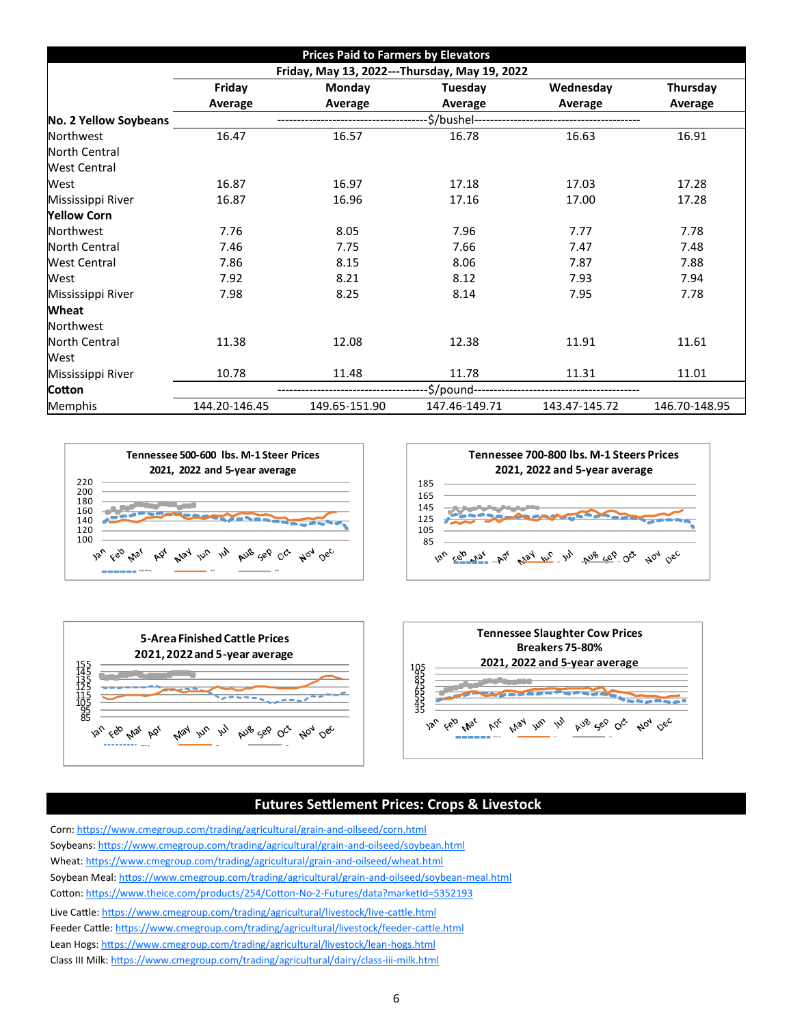|                                                                             |                                               | <b>Prices Paid to Farmers by Elevators</b> |         |         |         |  |  |  |  |
|-----------------------------------------------------------------------------|-----------------------------------------------|--------------------------------------------|---------|---------|---------|--|--|--|--|
|                                                                             | Friday, May 13, 2022---Thursday, May 19, 2022 |                                            |         |         |         |  |  |  |  |
|                                                                             | Friday<br>Monday<br>Tuesday<br>Wednesday      |                                            |         |         |         |  |  |  |  |
|                                                                             | Average                                       | Average                                    | Average | Average | Average |  |  |  |  |
| No. 2 Yellow Soybeans                                                       | -----------------------------------           |                                            |         |         |         |  |  |  |  |
| Northwest                                                                   | 16.47                                         | 16.57                                      | 16.78   | 16.63   | 16.91   |  |  |  |  |
| North Central                                                               |                                               |                                            |         |         |         |  |  |  |  |
| West Central                                                                |                                               |                                            |         |         |         |  |  |  |  |
| West                                                                        | 16.87                                         | 16.97                                      | 17.18   | 17.03   | 17.28   |  |  |  |  |
| Mississippi River                                                           | 16.87                                         | 16.96                                      | 17.16   | 17.00   | 17.28   |  |  |  |  |
| <b>Yellow Corn</b>                                                          |                                               |                                            |         |         |         |  |  |  |  |
| <b>Northwest</b>                                                            | 7.76                                          | 8.05                                       | 7.96    | 7.77    | 7.78    |  |  |  |  |
| North Central                                                               | 7.46                                          | 7.75                                       | 7.66    | 7.47    | 7.48    |  |  |  |  |
| <b>West Central</b>                                                         | 7.86                                          | 8.15                                       | 8.06    | 7.87    | 7.88    |  |  |  |  |
| West                                                                        | 7.92                                          | 8.21                                       | 8.12    | 7.93    | 7.94    |  |  |  |  |
| Mississippi River                                                           | 7.98                                          | 8.25                                       | 8.14    | 7.95    | 7.78    |  |  |  |  |
| <b>Wheat</b>                                                                |                                               |                                            |         |         |         |  |  |  |  |
| Northwest                                                                   |                                               |                                            |         |         |         |  |  |  |  |
| North Central                                                               | 11.38                                         | 12.08                                      | 12.38   | 11.91   | 11.61   |  |  |  |  |
| West                                                                        |                                               |                                            |         |         |         |  |  |  |  |
| Mississippi River                                                           | 10.78                                         | 11.48                                      | 11.78   | 11.31   | 11.01   |  |  |  |  |
| Cotton                                                                      | -\$/pound--                                   |                                            |         |         |         |  |  |  |  |
| Memphis<br>144.20-146.45<br>147.46-149.71<br>143.47-145.72<br>149.65-151.90 |                                               |                                            |         |         |         |  |  |  |  |









# **Futures Settlement Prices: Crops & Livestock**

Corn: [https://www.cmegroup.com/trading/agricultural/grain](https://www.cmegroup.com/trading/agricultural/grain-and-oilseed/corn.html)-and-oilseed/corn.html Soybeans: [https://www.cmegroup.com/trading/agricultural/grain](https://www.cmegroup.com/trading/agricultural/grain-and-oilseed/soybean.html)-and-oilseed/soybean.html Wheat: [https://www.cmegroup.com/trading/agricultural/grain](https://www.cmegroup.com/trading/agricultural/grain-and-oilseed/wheat.html)-and-oilseed/wheat.html Soybean Meal: [https://www.cmegroup.com/trading/agricultural/grain](https://www.cmegroup.com/trading/agricultural/grain-and-oilseed/soybean-meal.html)-and-oilseed/soybean-meal.html Cotton: [https://www.theice.com/products/254/Cotton](https://www.theice.com/products/254/Cotton-No-2-Futures/data?marketId=5352193)-No-2-Futures/data?marketId=5352193 Live Cattle: [https://www.cmegroup.com/trading/agricultural/livestock/live](https://www.cmegroup.com/trading/agricultural/livestock/live-cattle.html)-cattle.html Feeder Cattle: [https://www.cmegroup.com/trading/agricultural/livestock/feeder](https://www.cmegroup.com/trading/agricultural/livestock/feeder-cattle.html)-cattle.html Lean Hogs: [https://www.cmegroup.com/trading/agricultural/livestock/lean](https://www.cmegroup.com/trading/agricultural/livestock/lean-hogs.html)-hogs.html Class III Milk: [https://www.cmegroup.com/trading/agricultural/dairy/class](https://www.cmegroup.com/trading/agricultural/dairy/class-iii-milk.html)-iii-milk.html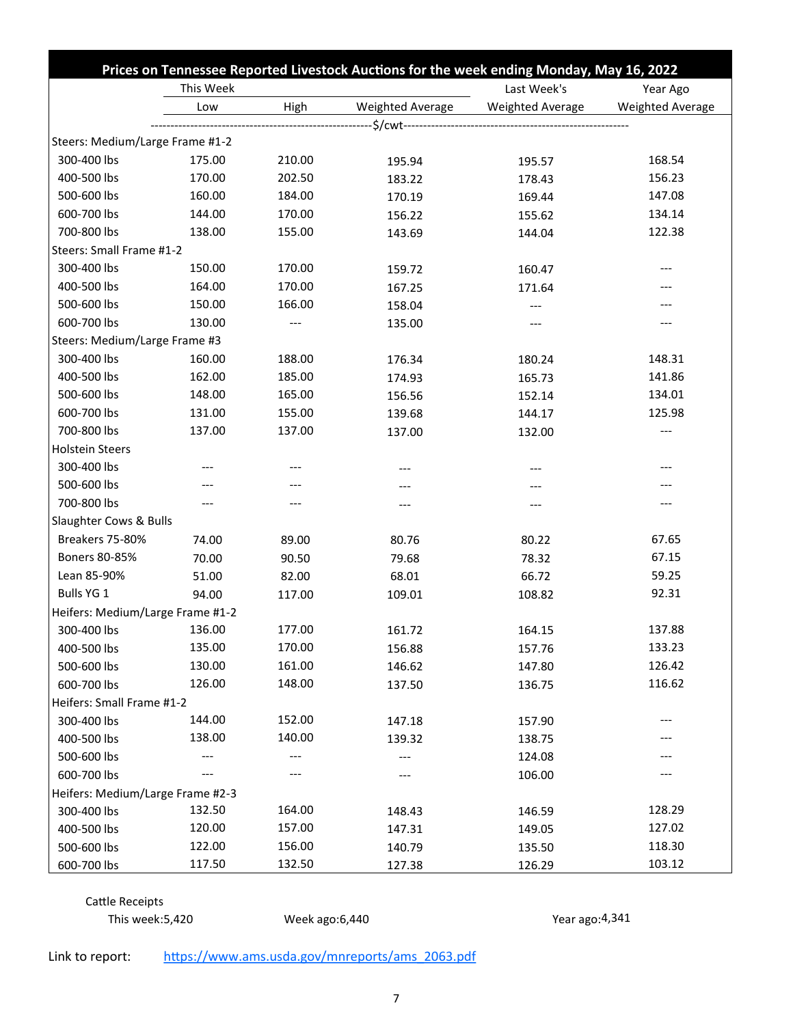|                                  |           |        | Prices on Tennessee Reported Livestock Auctions for the week ending Monday, May 16, 2022 |                  |                  |
|----------------------------------|-----------|--------|------------------------------------------------------------------------------------------|------------------|------------------|
|                                  | This Week |        |                                                                                          | Last Week's      | Year Ago         |
|                                  | Low       | High   | Weighted Average                                                                         | Weighted Average | Weighted Average |
|                                  |           |        |                                                                                          |                  |                  |
| Steers: Medium/Large Frame #1-2  |           |        |                                                                                          |                  |                  |
| 300-400 lbs                      | 175.00    | 210.00 | 195.94                                                                                   | 195.57           | 168.54           |
| 400-500 lbs                      | 170.00    | 202.50 | 183.22                                                                                   | 178.43           | 156.23           |
| 500-600 lbs                      | 160.00    | 184.00 | 170.19                                                                                   | 169.44           | 147.08           |
| 600-700 lbs                      | 144.00    | 170.00 | 156.22                                                                                   | 155.62           | 134.14           |
| 700-800 lbs                      | 138.00    | 155.00 | 143.69                                                                                   | 144.04           | 122.38           |
| Steers: Small Frame #1-2         |           |        |                                                                                          |                  |                  |
| 300-400 lbs                      | 150.00    | 170.00 | 159.72                                                                                   | 160.47           |                  |
| 400-500 lbs                      | 164.00    | 170.00 | 167.25                                                                                   | 171.64           |                  |
| 500-600 lbs                      | 150.00    | 166.00 | 158.04                                                                                   | ---              |                  |
| 600-700 lbs                      | 130.00    |        | 135.00                                                                                   |                  |                  |
| Steers: Medium/Large Frame #3    |           |        |                                                                                          |                  |                  |
| 300-400 lbs                      | 160.00    | 188.00 | 176.34                                                                                   | 180.24           | 148.31           |
| 400-500 lbs                      | 162.00    | 185.00 | 174.93                                                                                   | 165.73           | 141.86           |
| 500-600 lbs                      | 148.00    | 165.00 | 156.56                                                                                   | 152.14           | 134.01           |
| 600-700 lbs                      | 131.00    | 155.00 | 139.68                                                                                   | 144.17           | 125.98           |
| 700-800 lbs                      | 137.00    | 137.00 | 137.00                                                                                   | 132.00           |                  |
| <b>Holstein Steers</b>           |           |        |                                                                                          |                  |                  |
| 300-400 lbs                      |           | ---    | ---                                                                                      | ---              | ---              |
| 500-600 lbs                      |           |        | ---                                                                                      | ---              |                  |
| 700-800 lbs                      |           | ---    |                                                                                          |                  | ---              |
| Slaughter Cows & Bulls           |           |        |                                                                                          |                  |                  |
| Breakers 75-80%                  | 74.00     | 89.00  | 80.76                                                                                    | 80.22            | 67.65            |
| Boners 80-85%                    | 70.00     | 90.50  | 79.68                                                                                    | 78.32            | 67.15            |
| Lean 85-90%                      | 51.00     | 82.00  | 68.01                                                                                    | 66.72            | 59.25            |
| Bulls YG 1                       | 94.00     | 117.00 | 109.01                                                                                   | 108.82           | 92.31            |
| Heifers: Medium/Large Frame #1-2 |           |        |                                                                                          |                  |                  |
| 300-400 lbs                      | 136.00    | 177.00 | 161.72                                                                                   | 164.15           | 137.88           |
| 400-500 lbs                      | 135.00    | 170.00 | 156.88                                                                                   | 157.76           | 133.23           |
| 500-600 lbs                      | 130.00    | 161.00 | 146.62                                                                                   | 147.80           | 126.42           |
| 600-700 lbs                      | 126.00    | 148.00 | 137.50                                                                                   | 136.75           | 116.62           |
| Heifers: Small Frame #1-2        |           |        |                                                                                          |                  |                  |
| 300-400 lbs                      | 144.00    | 152.00 | 147.18                                                                                   | 157.90           |                  |
| 400-500 lbs                      | 138.00    | 140.00 | 139.32                                                                                   | 138.75           |                  |
| 500-600 lbs                      |           | ---    | ---                                                                                      | 124.08           |                  |
| 600-700 lbs                      |           |        | ---                                                                                      | 106.00           |                  |
| Heifers: Medium/Large Frame #2-3 |           |        |                                                                                          |                  |                  |
| 300-400 lbs                      | 132.50    | 164.00 | 148.43                                                                                   | 146.59           | 128.29           |
| 400-500 lbs                      | 120.00    | 157.00 | 147.31                                                                                   | 149.05           | 127.02           |
| 500-600 lbs                      | 122.00    | 156.00 | 140.79                                                                                   | 135.50           | 118.30           |
| 600-700 lbs                      | 117.50    | 132.50 | 127.38                                                                                   | 126.29           | 103.12           |

Cattle Receipts

This week: 5,420 Week ago: 6,440 Year ago: 4,341

Link to report: [https://www.ams.usda.gov/mnreports/ams\\_2063.pdf](https://www.ams.usda.gov/mnreports/ams_2063.pdf)